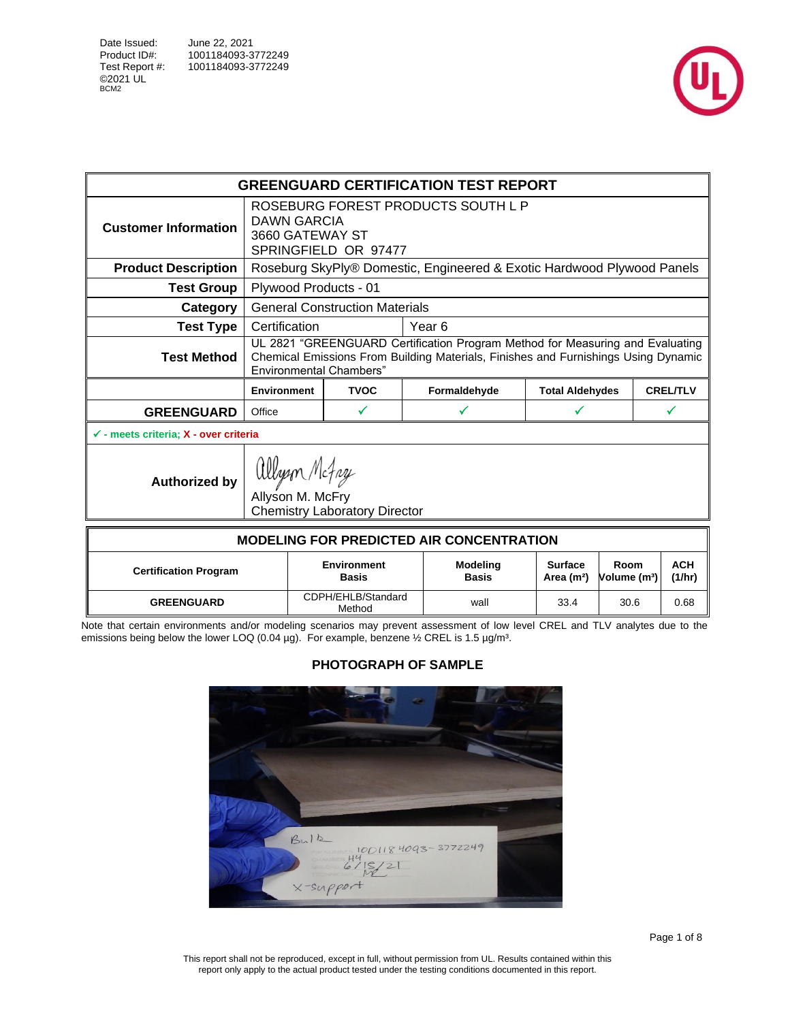



|                                                    |                                |                                                                           | <b>GREENGUARD CERTIFICATION TEST REPORT</b>                                                                                                                         |  |                                          |                                  |                      |
|----------------------------------------------------|--------------------------------|---------------------------------------------------------------------------|---------------------------------------------------------------------------------------------------------------------------------------------------------------------|--|------------------------------------------|----------------------------------|----------------------|
| <b>Customer Information</b>                        | DAWN GARCIA<br>3660 GATEWAY ST | SPRINGFIELD OR 97477                                                      | ROSEBURG FOREST PRODUCTS SOUTH L P                                                                                                                                  |  |                                          |                                  |                      |
| <b>Product Description</b>                         |                                |                                                                           | Roseburg SkyPly® Domestic, Engineered & Exotic Hardwood Plywood Panels                                                                                              |  |                                          |                                  |                      |
| <b>Test Group</b>                                  | Plywood Products - 01          |                                                                           |                                                                                                                                                                     |  |                                          |                                  |                      |
| Category                                           |                                | <b>General Construction Materials</b>                                     |                                                                                                                                                                     |  |                                          |                                  |                      |
| <b>Test Type</b>                                   | Certification                  |                                                                           | Year <sub>6</sub>                                                                                                                                                   |  |                                          |                                  |                      |
| <b>Test Method</b>                                 | <b>Environmental Chambers"</b> |                                                                           | UL 2821 "GREENGUARD Certification Program Method for Measuring and Evaluating<br>Chemical Emissions From Building Materials, Finishes and Furnishings Using Dynamic |  |                                          |                                  |                      |
|                                                    | <b>Environment</b>             | <b>TVOC</b><br><b>Total Aldehydes</b><br>Formaldehyde                     |                                                                                                                                                                     |  |                                          |                                  | <b>CREL/TLV</b>      |
| <b>GREENGUARD</b>                                  | Office                         | ✓                                                                         | ✓                                                                                                                                                                   |  | ✓                                        |                                  | ✓                    |
| $\checkmark$ - meets criteria; $X$ - over criteria |                                |                                                                           |                                                                                                                                                                     |  |                                          |                                  |                      |
| <b>Authorized by</b>                               |                                | allyson Mcfay<br>Allyson M. McFry<br><b>Chemistry Laboratory Director</b> |                                                                                                                                                                     |  |                                          |                                  |                      |
|                                                    |                                |                                                                           | <b>MODELING FOR PREDICTED AIR CONCENTRATION</b>                                                                                                                     |  |                                          |                                  |                      |
| <b>Certification Program</b>                       |                                | <b>Environment</b><br><b>Basis</b>                                        | <b>Modeling</b><br><b>Basis</b>                                                                                                                                     |  | <b>Surface</b><br>Area (m <sup>2</sup> ) | Room<br>Volume (m <sup>3</sup> ) | <b>ACH</b><br>(1/hr) |
| <b>GREENGUARD</b>                                  |                                | CDPH/EHLB/Standard<br>Method                                              | wall                                                                                                                                                                |  | 33.4                                     | 30.6                             | 0.68                 |

Note that certain environments and/or modeling scenarios may prevent assessment of low level CREL and TLV analytes due to the emissions being below the lower LOQ (0.04 µg). For example, benzene  $\frac{1}{2}$  CREL is 1.5 µg/m<sup>3</sup>.

<span id="page-0-0"></span>

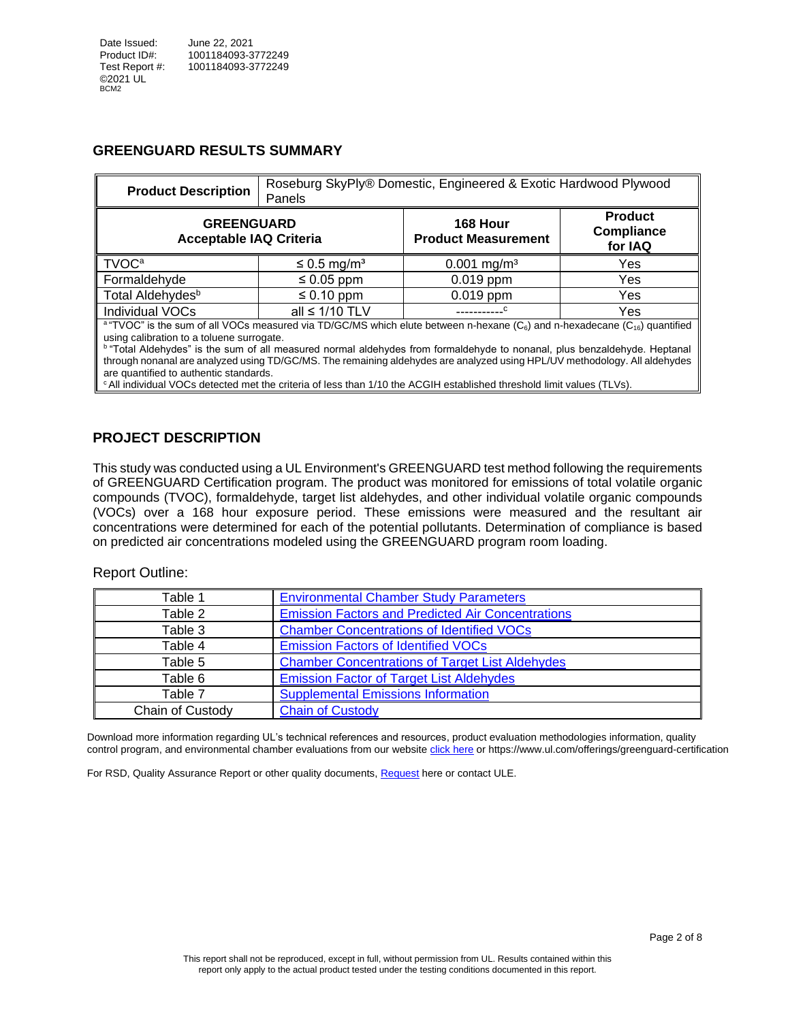#### **GREENGUARD RESULTS SUMMARY**

| <b>Product Description</b>                                                                                                                                                                                                                                                                                                                                                                                                                                                                                                 | Panels                       | Roseburg SkyPly® Domestic, Engineered & Exotic Hardwood Plywood |                                                |  |  |  |  |
|----------------------------------------------------------------------------------------------------------------------------------------------------------------------------------------------------------------------------------------------------------------------------------------------------------------------------------------------------------------------------------------------------------------------------------------------------------------------------------------------------------------------------|------------------------------|-----------------------------------------------------------------|------------------------------------------------|--|--|--|--|
| <b>GREENGUARD</b><br><b>Acceptable IAQ Criteria</b>                                                                                                                                                                                                                                                                                                                                                                                                                                                                        |                              | 168 Hour<br><b>Product Measurement</b>                          | <b>Product</b><br><b>Compliance</b><br>for IAQ |  |  |  |  |
| <b>TVOC<sup>a</sup></b>                                                                                                                                                                                                                                                                                                                                                                                                                                                                                                    | $\leq$ 0.5 mg/m <sup>3</sup> | $0.001$ mg/m <sup>3</sup>                                       | Yes                                            |  |  |  |  |
| Formaldehyde                                                                                                                                                                                                                                                                                                                                                                                                                                                                                                               | $\leq 0.05$ ppm              | $0.019$ ppm                                                     | Yes                                            |  |  |  |  |
| Total Aldehydes <sup>b</sup>                                                                                                                                                                                                                                                                                                                                                                                                                                                                                               | $\leq 0.10$ ppm              | $0.019$ ppm                                                     | Yes                                            |  |  |  |  |
| Individual VOCs                                                                                                                                                                                                                                                                                                                                                                                                                                                                                                            | all $\leq 1/10$ TLV          |                                                                 | Yes                                            |  |  |  |  |
| <sup>a</sup> "TVOC" is the sum of all VOCs measured via TD/GC/MS which elute between n-hexane (C <sub>6</sub> ) and n-hexadecane (C <sub>16</sub> ) quantified<br>using calibration to a toluene surrogate.<br><sup>b</sup> "Total Aldehydes" is the sum of all measured normal aldehydes from formaldehyde to nonanal, plus benzaldehyde. Heptanal<br>through nonanal are analyzed using TD/GC/MS. The remaining aldehydes are analyzed using HPL/UV methodology. All aldehydes<br>are quantified to authentic standards. |                              |                                                                 |                                                |  |  |  |  |

<sup>c</sup> All individual VOCs detected met the criteria of less than 1/10 the ACGIH established threshold limit values (TLVs).

#### **PROJECT DESCRIPTION**

This study was conducted using a UL Environment's GREENGUARD test method following the requirements of GREENGUARD Certification program. The product was monitored for emissions of total volatile organic compounds (TVOC), formaldehyde, target list aldehydes, and other individual volatile organic compounds (VOCs) over a 168 hour exposure period. These emissions were measured and the resultant air concentrations were determined for each of the potential pollutants. Determination of compliance is based on predicted air concentrations modeled using the GREENGUARD program room loading.

#### Report Outline:

| Table 1          | <b>Environmental Chamber Study Parameters</b>            |
|------------------|----------------------------------------------------------|
| Table 2          | <b>Emission Factors and Predicted Air Concentrations</b> |
| Table 3          | <b>Chamber Concentrations of Identified VOCs</b>         |
| Table 4          | <b>Emission Factors of Identified VOCs</b>               |
| Table 5          | <b>Chamber Concentrations of Target List Aldehydes</b>   |
| Table 6          | <b>Emission Factor of Target List Aldehydes</b>          |
| Table 7          | <b>Supplemental Emissions Information</b>                |
| Chain of Custody | <b>Chain of Custody</b>                                  |

Download more information regarding UL's technical references and resources, product evaluation methodologies information, quality control program, and environmental chamber evaluations from our website [click here](https://www.ul.com/offerings/greenguard-certification) or<https://www.ul.com/offerings/greenguard-certification>

<span id="page-1-0"></span>For RSD, Quality Assurance Report or other quality documents, [Request](mailto:LST.ULE.AQS%20Service%20Delivery%20%3cLST.ULE.AQSServiceDelivery@ul.com%3e;%20Schiller,%20Stephanie%20%3cStephanie.Schiller@ul.com%3e?subject=Request%20RSD,%20Quality%20Assurance%20Report%20or%20other%20quality%20documents) here or contact ULE.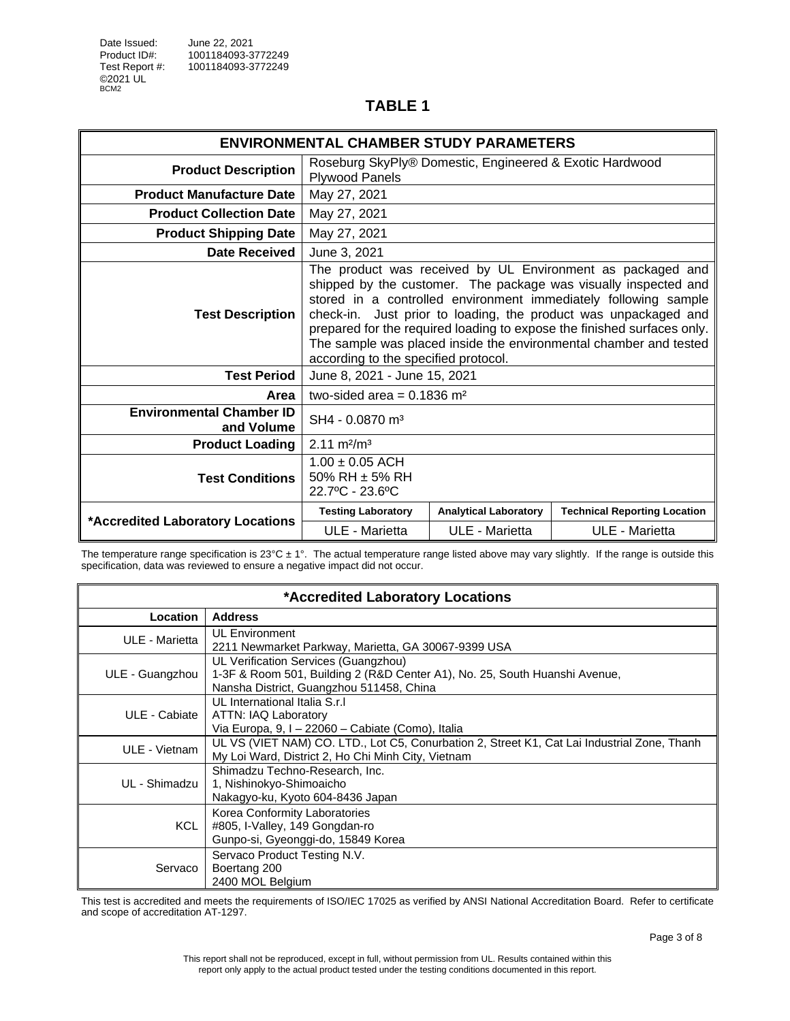|                                               | <b>ENVIRONMENTAL CHAMBER STUDY PARAMETERS</b>                                                                                                                                                                                                                                                                                                                                                                                                               |                              |                                     |  |
|-----------------------------------------------|-------------------------------------------------------------------------------------------------------------------------------------------------------------------------------------------------------------------------------------------------------------------------------------------------------------------------------------------------------------------------------------------------------------------------------------------------------------|------------------------------|-------------------------------------|--|
| <b>Product Description</b>                    | Roseburg SkyPly® Domestic, Engineered & Exotic Hardwood<br><b>Plywood Panels</b>                                                                                                                                                                                                                                                                                                                                                                            |                              |                                     |  |
| <b>Product Manufacture Date</b>               | May 27, 2021                                                                                                                                                                                                                                                                                                                                                                                                                                                |                              |                                     |  |
| <b>Product Collection Date</b>                | May 27, 2021                                                                                                                                                                                                                                                                                                                                                                                                                                                |                              |                                     |  |
| <b>Product Shipping Date</b>                  | May 27, 2021                                                                                                                                                                                                                                                                                                                                                                                                                                                |                              |                                     |  |
| Date Received                                 | June 3, 2021                                                                                                                                                                                                                                                                                                                                                                                                                                                |                              |                                     |  |
| <b>Test Description</b>                       | The product was received by UL Environment as packaged and<br>shipped by the customer. The package was visually inspected and<br>stored in a controlled environment immediately following sample<br>check-in. Just prior to loading, the product was unpackaged and<br>prepared for the required loading to expose the finished surfaces only.<br>The sample was placed inside the environmental chamber and tested<br>according to the specified protocol. |                              |                                     |  |
| <b>Test Period</b>                            | June 8, 2021 - June 15, 2021                                                                                                                                                                                                                                                                                                                                                                                                                                |                              |                                     |  |
| Area                                          | two-sided area = $0.1836$ m <sup>2</sup>                                                                                                                                                                                                                                                                                                                                                                                                                    |                              |                                     |  |
| <b>Environmental Chamber ID</b><br>and Volume | SH4 - 0.0870 m <sup>3</sup>                                                                                                                                                                                                                                                                                                                                                                                                                                 |                              |                                     |  |
| <b>Product Loading</b>                        | $2.11 \text{ m}^2/\text{m}^3$                                                                                                                                                                                                                                                                                                                                                                                                                               |                              |                                     |  |
| <b>Test Conditions</b>                        | $1.00 \pm 0.05$ ACH<br>50% RH $\pm$ 5% RH<br>22.7°C - 23.6°C                                                                                                                                                                                                                                                                                                                                                                                                |                              |                                     |  |
| *Accredited Laboratory Locations              | <b>Testing Laboratory</b>                                                                                                                                                                                                                                                                                                                                                                                                                                   | <b>Analytical Laboratory</b> | <b>Technical Reporting Location</b> |  |
|                                               | ULE - Marietta                                                                                                                                                                                                                                                                                                                                                                                                                                              | ULE - Marietta               | ULE - Marietta                      |  |

The temperature range specification is  $23^{\circ}$ C ± 1°. The actual temperature range listed above may vary slightly. If the range is outside this specification, data was reviewed to ensure a negative impact did not occur.

|                                                                                                                                                                                   | *Accredited Laboratory Locations                                                                                                                  |  |  |  |
|-----------------------------------------------------------------------------------------------------------------------------------------------------------------------------------|---------------------------------------------------------------------------------------------------------------------------------------------------|--|--|--|
| Location                                                                                                                                                                          | <b>Address</b>                                                                                                                                    |  |  |  |
| <b>UL Environment</b><br>ULE - Marietta<br>2211 Newmarket Parkway, Marietta, GA 30067-9399 USA                                                                                    |                                                                                                                                                   |  |  |  |
| UL Verification Services (Guangzhou)<br>1-3F & Room 501, Building 2 (R&D Center A1), No. 25, South Huanshi Avenue,<br>ULE - Guangzhou<br>Nansha District, Guangzhou 511458, China |                                                                                                                                                   |  |  |  |
| ULE - Cabiate                                                                                                                                                                     | UL International Italia S.r.I<br>ATTN: IAQ Laboratory<br>Via Europa, 9, I - 22060 - Cabiate (Como), Italia                                        |  |  |  |
| ULE - Vietnam                                                                                                                                                                     | UL VS (VIET NAM) CO. LTD., Lot C5, Conurbation 2, Street K1, Cat Lai Industrial Zone, Thanh<br>My Loi Ward, District 2, Ho Chi Minh City, Vietnam |  |  |  |
| UL - Shimadzu I                                                                                                                                                                   | Shimadzu Techno-Research, Inc.<br>1, Nishinokyo-Shimoaicho<br>Nakagyo-ku, Kyoto 604-8436 Japan                                                    |  |  |  |
| KCL .                                                                                                                                                                             | Korea Conformity Laboratories<br>#805, I-Valley, 149 Gongdan-ro<br>Gunpo-si, Gyeonggi-do, 15849 Korea                                             |  |  |  |
| Servaco                                                                                                                                                                           | Servaco Product Testing N.V.<br>Boertang 200<br>2400 MOL Belgium                                                                                  |  |  |  |

This test is accredited and meets the requirements of ISO/IEC 17025 as verified by ANSI National Accreditation Board. Refer to certificate and scope of accreditation AT-1297.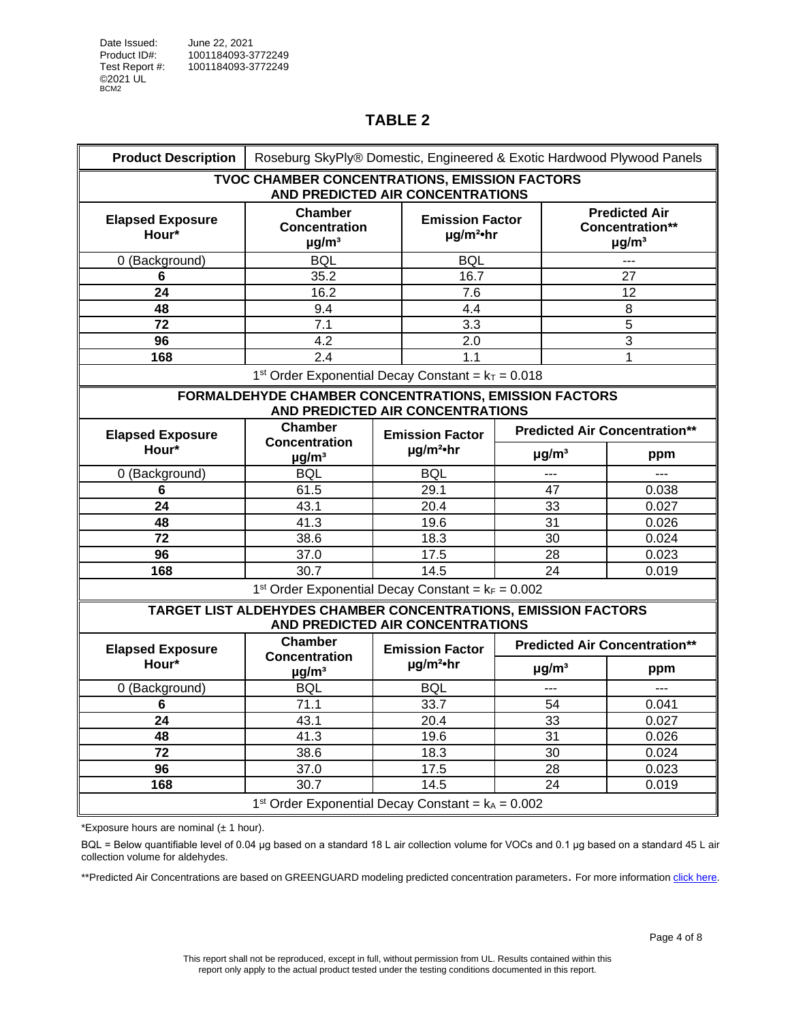<span id="page-3-0"></span>

| <b>Product Description</b>       | Roseburg SkyPly® Domestic, Engineered & Exotic Hardwood Plywood Panels                             |  |                                                      |  |                        |                                                                   |  |
|----------------------------------|----------------------------------------------------------------------------------------------------|--|------------------------------------------------------|--|------------------------|-------------------------------------------------------------------|--|
|                                  | <b>TVOC CHAMBER CONCENTRATIONS, EMISSION FACTORS</b><br>AND PREDICTED AIR CONCENTRATIONS           |  |                                                      |  |                        |                                                                   |  |
| <b>Elapsed Exposure</b><br>Hour* | Chamber<br><b>Concentration</b><br>$\mu$ g/m <sup>3</sup>                                          |  | <b>Emission Factor</b><br>$\mu$ g/m <sup>2</sup> ·hr |  |                        | <b>Predicted Air</b><br>Concentration**<br>$\mu$ g/m <sup>3</sup> |  |
| 0 (Background)                   | <b>BQL</b>                                                                                         |  | <b>BQL</b>                                           |  |                        | ---                                                               |  |
| 6                                | 35.2                                                                                               |  | 16.7                                                 |  |                        | 27                                                                |  |
| $\overline{24}$                  | 16.2                                                                                               |  | 7.6                                                  |  |                        | 12                                                                |  |
| 48                               | 9.4                                                                                                |  | 4.4                                                  |  |                        | 8                                                                 |  |
| 72                               | 7.1                                                                                                |  | 3.3                                                  |  |                        | 5                                                                 |  |
| 96                               | 4.2                                                                                                |  | 2.0                                                  |  |                        | $\overline{3}$                                                    |  |
| 168                              | $\overline{2.4}$                                                                                   |  | $\overline{1.1}$                                     |  |                        | 1                                                                 |  |
|                                  | 1 <sup>st</sup> Order Exponential Decay Constant = $k_T$ = 0.018                                   |  |                                                      |  |                        |                                                                   |  |
|                                  | FORMALDEHYDE CHAMBER CONCENTRATIONS, EMISSION FACTORS<br>AND PREDICTED AIR CONCENTRATIONS          |  |                                                      |  |                        |                                                                   |  |
| <b>Elapsed Exposure</b>          | Chamber                                                                                            |  | <b>Emission Factor</b>                               |  |                        | <b>Predicted Air Concentration**</b>                              |  |
| Hour*                            | <b>Concentration</b><br>$\mu$ g/m <sup>3</sup>                                                     |  | $\mu$ g/m <sup>2</sup> ·hr                           |  | $\mu$ g/m <sup>3</sup> | ppm                                                               |  |
| 0 (Background)                   | <b>BQL</b>                                                                                         |  | <b>BQL</b>                                           |  | ---                    | ---                                                               |  |
| 6                                | 61.5                                                                                               |  | 29.1                                                 |  | $\overline{47}$        | 0.038                                                             |  |
| 24                               | 43.1                                                                                               |  | 20.4                                                 |  | 33                     | 0.027                                                             |  |
| 48                               | 41.3                                                                                               |  | 19.6                                                 |  | 31                     | 0.026                                                             |  |
| $\overline{72}$                  | 38.6                                                                                               |  | 18.3                                                 |  | 30                     | 0.024                                                             |  |
| 96                               | 37.0                                                                                               |  | 17.5                                                 |  | 28                     | 0.023                                                             |  |
| 168                              | 30.7                                                                                               |  | 14.5                                                 |  | 24                     | 0.019                                                             |  |
|                                  | 1 <sup>st</sup> Order Exponential Decay Constant = $k_F = 0.002$                                   |  |                                                      |  |                        |                                                                   |  |
|                                  | TARGET LIST ALDEHYDES CHAMBER CONCENTRATIONS, EMISSION FACTORS<br>AND PREDICTED AIR CONCENTRATIONS |  |                                                      |  |                        |                                                                   |  |
| <b>Elapsed Exposure</b>          | <b>Chamber</b>                                                                                     |  | <b>Emission Factor</b>                               |  |                        | <b>Predicted Air Concentration**</b>                              |  |
| Hour*                            | <b>Concentration</b><br>$\mu$ g/m <sup>3</sup>                                                     |  | $\mu$ g/m <sup>2</sup> ·hr                           |  | $\mu$ g/m <sup>3</sup> | ppm                                                               |  |
| 0 (Background)                   | <b>BQL</b>                                                                                         |  | <b>BQL</b>                                           |  | $\overline{a}$         | $\overline{a}$                                                    |  |
| 6                                | 71.1                                                                                               |  | 33.7                                                 |  | 54                     | 0.041                                                             |  |
| 24                               | 43.1                                                                                               |  | 20.4                                                 |  | 33                     | 0.027                                                             |  |
| 48                               | 41.3                                                                                               |  | 19.6                                                 |  | 31                     | 0.026                                                             |  |
| 72                               | 38.6                                                                                               |  | 18.3                                                 |  | 30                     | 0.024                                                             |  |
| 96                               | 37.0                                                                                               |  | 17.5                                                 |  | 28                     | 0.023                                                             |  |
| 168                              | 30.7                                                                                               |  | 14.5                                                 |  | 24                     | 0.019                                                             |  |
|                                  | 1 <sup>st</sup> Order Exponential Decay Constant = $k_A$ = 0.002                                   |  |                                                      |  |                        |                                                                   |  |

\*Exposure hours are nominal  $(\pm 1$  hour).

BQL = Below quantifiable level of 0.04 μg based on a standard 18 L air collection volume for VOCs and 0.1 µg based on a standard 45 L air collection volume for aldehydes.

\*\*Predicted Air Concentrations are based on GREENGUARD modeling predicted concentration parameters. For more information click [here.](#page-0-0)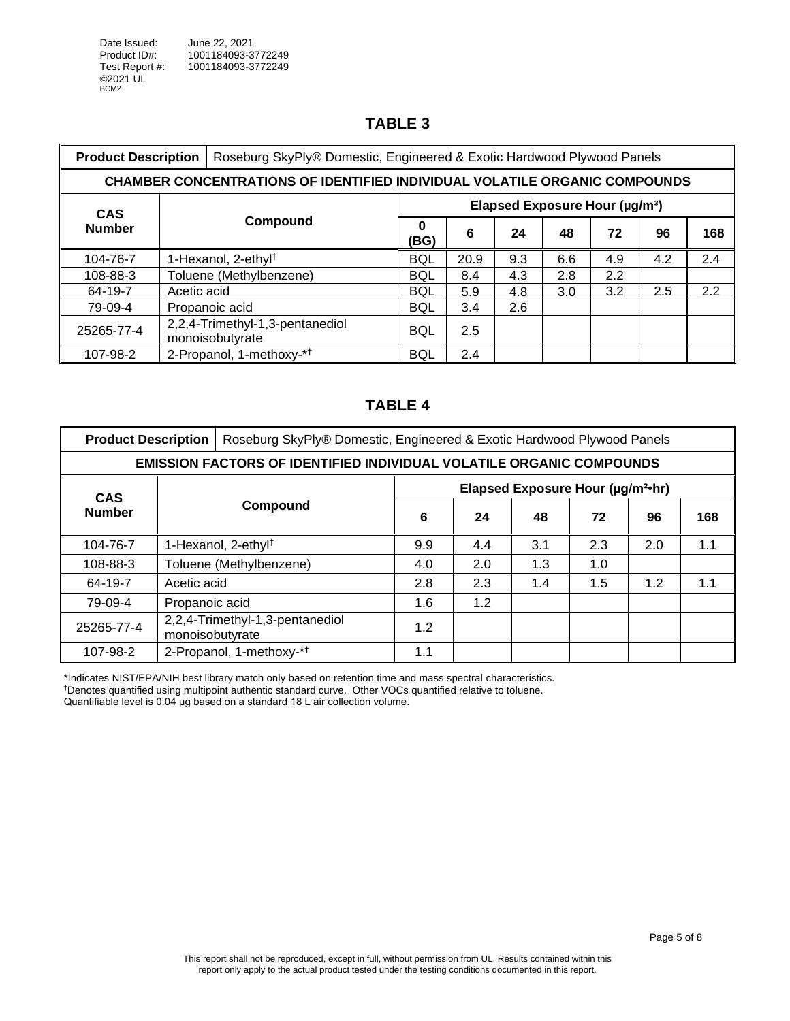<span id="page-4-0"></span>

| Roseburg SkyPly® Domestic, Engineered & Exotic Hardwood Plywood Panels<br><b>Product Description</b> |                                                                                   |                                                    |            |      |                                            |     |     |     |     |
|------------------------------------------------------------------------------------------------------|-----------------------------------------------------------------------------------|----------------------------------------------------|------------|------|--------------------------------------------|-----|-----|-----|-----|
|                                                                                                      | <b>CHAMBER CONCENTRATIONS OF IDENTIFIED INDIVIDUAL VOLATILE ORGANIC COMPOUNDS</b> |                                                    |            |      |                                            |     |     |     |     |
| <b>CAS</b>                                                                                           |                                                                                   |                                                    |            |      | Elapsed Exposure Hour (µg/m <sup>3</sup> ) |     |     |     |     |
| <b>Number</b>                                                                                        |                                                                                   | Compound                                           | 0<br>(BG)  | 6    | 24                                         | 48  | 72  | 96  | 168 |
| 104-76-7                                                                                             |                                                                                   | 1-Hexanol, 2-ethyl <sup>†</sup>                    | <b>BQL</b> | 20.9 | 9.3                                        | 6.6 | 4.9 | 4.2 | 2.4 |
| 108-88-3                                                                                             |                                                                                   | Toluene (Methylbenzene)                            | <b>BQL</b> | 8.4  | 4.3                                        | 2.8 | 2.2 |     |     |
| 64-19-7                                                                                              | Acetic acid                                                                       |                                                    | <b>BQL</b> | 5.9  | 4.8                                        | 3.0 | 3.2 | 2.5 | 2.2 |
| 79-09-4                                                                                              |                                                                                   | Propanoic acid                                     | <b>BQL</b> | 3.4  | 2.6                                        |     |     |     |     |
| 25265-77-4                                                                                           |                                                                                   | 2,2,4-Trimethyl-1,3-pentanediol<br>monoisobutyrate | <b>BQL</b> | 2.5  |                                            |     |     |     |     |
| 107-98-2                                                                                             |                                                                                   | 2-Propanol, 1-methoxy-* <sup>†</sup>               | <b>BQL</b> | 2.4  |                                            |     |     |     |     |

# **TABLE 4**

<span id="page-4-1"></span>

| <b>Product Description</b> |                                                                             | Roseburg SkyPly® Domestic, Engineered & Exotic Hardwood Plywood Panels |     |     |                                               |     |     |     |  |
|----------------------------|-----------------------------------------------------------------------------|------------------------------------------------------------------------|-----|-----|-----------------------------------------------|-----|-----|-----|--|
|                            | <b>EMISSION FACTORS OF IDENTIFIED INDIVIDUAL VOLATILE ORGANIC COMPOUNDS</b> |                                                                        |     |     |                                               |     |     |     |  |
| <b>CAS</b>                 |                                                                             |                                                                        |     |     | Elapsed Exposure Hour (µg/m <sup>2</sup> ·hr) |     |     |     |  |
| <b>Number</b>              |                                                                             | Compound                                                               | 6   | 24  | 48                                            | 72  | 96  | 168 |  |
| 104-76-7                   |                                                                             | 1-Hexanol, 2-ethyl <sup>†</sup>                                        | 9.9 | 4.4 | 3.1                                           | 2.3 | 2.0 | 1.1 |  |
| 108-88-3                   |                                                                             | Toluene (Methylbenzene)                                                | 4.0 | 2.0 | 1.3                                           | 1.0 |     |     |  |
| 64-19-7                    | Acetic acid                                                                 |                                                                        | 2.8 | 2.3 | 1.4                                           | 1.5 | 1.2 | 1.1 |  |
| 79-09-4                    | Propanoic acid                                                              |                                                                        | 1.6 | 1.2 |                                               |     |     |     |  |
| 25265-77-4                 | monoisobutyrate                                                             | 2,2,4-Trimethyl-1,3-pentanediol                                        | 1.2 |     |                                               |     |     |     |  |
| 107-98-2                   |                                                                             | 2-Propanol, 1-methoxy-* <sup>†</sup>                                   | 1.1 |     |                                               |     |     |     |  |

\*Indicates NIST/EPA/NIH best library match only based on retention time and mass spectral characteristics. †Denotes quantified using multipoint authentic standard curve. Other VOCs quantified relative to toluene. Quantifiable level is 0.04 μg based on a standard 18 L air collection volume.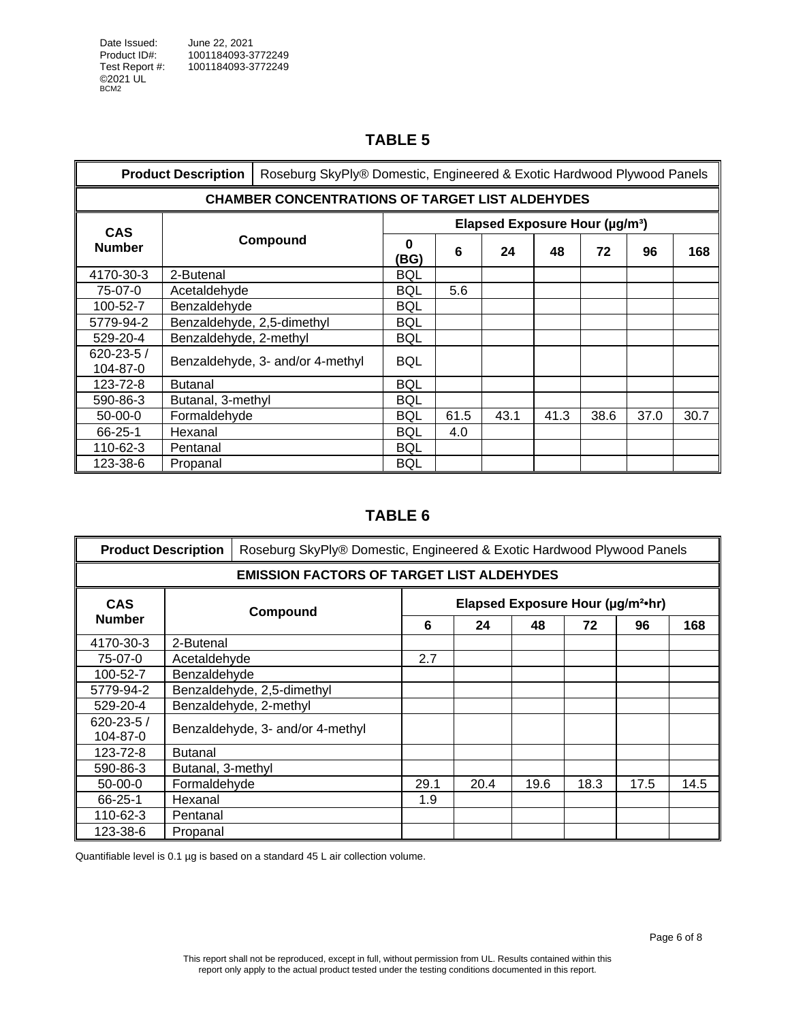<span id="page-5-0"></span>

| Roseburg SkyPly® Domestic, Engineered & Exotic Hardwood Plywood Panels<br><b>Product Description</b> |                                                        |                                  |            |      |                                            |      |      |      |      |
|------------------------------------------------------------------------------------------------------|--------------------------------------------------------|----------------------------------|------------|------|--------------------------------------------|------|------|------|------|
|                                                                                                      | <b>CHAMBER CONCENTRATIONS OF TARGET LIST ALDEHYDES</b> |                                  |            |      |                                            |      |      |      |      |
| <b>CAS</b>                                                                                           |                                                        |                                  |            |      | Elapsed Exposure Hour (µg/m <sup>3</sup> ) |      |      |      |      |
| <b>Number</b>                                                                                        |                                                        | Compound                         | 0<br>(BG)  | 6    | 24                                         | 48   | 72   | 96   | 168  |
| 4170-30-3                                                                                            | 2-Butenal                                              |                                  | BQL        |      |                                            |      |      |      |      |
| 75-07-0                                                                                              | Acetaldehyde                                           |                                  | BQL        | 5.6  |                                            |      |      |      |      |
| 100-52-7                                                                                             | Benzaldehyde                                           |                                  | <b>BQL</b> |      |                                            |      |      |      |      |
| 5779-94-2                                                                                            | Benzaldehyde, 2,5-dimethyl                             |                                  | <b>BQL</b> |      |                                            |      |      |      |      |
| 529-20-4                                                                                             | Benzaldehyde, 2-methyl                                 |                                  | <b>BQL</b> |      |                                            |      |      |      |      |
| $620 - 23 - 5/$<br>104-87-0                                                                          |                                                        | Benzaldehyde, 3- and/or 4-methyl | <b>BQL</b> |      |                                            |      |      |      |      |
| 123-72-8                                                                                             | <b>Butanal</b>                                         |                                  | <b>BQL</b> |      |                                            |      |      |      |      |
| 590-86-3                                                                                             | Butanal, 3-methyl                                      |                                  | <b>BQL</b> |      |                                            |      |      |      |      |
| $50-00-0$                                                                                            | Formaldehyde                                           |                                  | BQL        | 61.5 | 43.1                                       | 41.3 | 38.6 | 37.0 | 30.7 |
| 66-25-1                                                                                              | Hexanal                                                |                                  | BQL        | 4.0  |                                            |      |      |      |      |
| 110-62-3                                                                                             | Pentanal                                               |                                  | BQL        |      |                                            |      |      |      |      |
| 123-38-6                                                                                             | Propanal                                               |                                  | <b>BQL</b> |      |                                            |      |      |      |      |

# **TABLE 6**

<span id="page-5-1"></span>

| <b>Product Description</b>  |                                                  | Roseburg SkyPly® Domestic, Engineered & Exotic Hardwood Plywood Panels |                                  |      |      |      |      |      |
|-----------------------------|--------------------------------------------------|------------------------------------------------------------------------|----------------------------------|------|------|------|------|------|
|                             | <b>EMISSION FACTORS OF TARGET LIST ALDEHYDES</b> |                                                                        |                                  |      |      |      |      |      |
| <b>CAS</b>                  |                                                  | Elapsed Exposure Hour (µg/m <sup>2</sup> ·hr)<br>Compound              |                                  |      |      |      |      |      |
| <b>Number</b>               |                                                  |                                                                        | 6<br>24<br>48<br>72<br>96<br>2.7 |      |      |      |      | 168  |
| 4170-30-3                   | 2-Butenal                                        |                                                                        |                                  |      |      |      |      |      |
| 75-07-0                     | Acetaldehyde                                     |                                                                        |                                  |      |      |      |      |      |
| 100-52-7                    | Benzaldehyde                                     |                                                                        |                                  |      |      |      |      |      |
| 5779-94-2                   | Benzaldehyde, 2,5-dimethyl                       |                                                                        |                                  |      |      |      |      |      |
| 529-20-4                    |                                                  | Benzaldehyde, 2-methyl                                                 |                                  |      |      |      |      |      |
| $620 - 23 - 5/$<br>104-87-0 |                                                  | Benzaldehyde, 3- and/or 4-methyl                                       |                                  |      |      |      |      |      |
| 123-72-8                    | <b>Butanal</b>                                   |                                                                        |                                  |      |      |      |      |      |
| 590-86-3                    | Butanal, 3-methyl                                |                                                                        |                                  |      |      |      |      |      |
| $50-00-0$                   | Formaldehyde                                     |                                                                        | 29.1                             | 20.4 | 19.6 | 18.3 | 17.5 | 14.5 |
| 66-25-1                     | Hexanal                                          |                                                                        | 1.9                              |      |      |      |      |      |
| $110 - 62 - 3$              | Pentanal                                         |                                                                        |                                  |      |      |      |      |      |
| 123-38-6                    | Propanal                                         |                                                                        |                                  |      |      |      |      |      |

Quantifiable level is 0.1 µg is based on a standard 45 L air collection volume.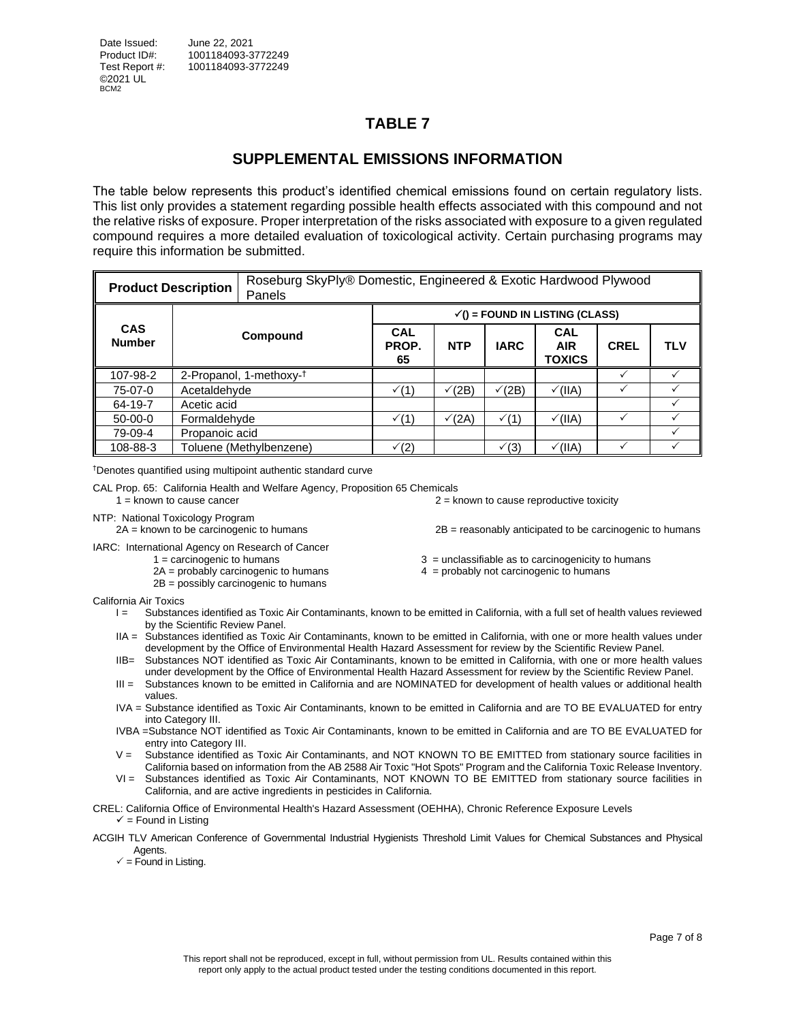#### **SUPPLEMENTAL EMISSIONS INFORMATION**

<span id="page-6-0"></span>The table below represents this product's identified chemical emissions found on certain regulatory lists. This list only provides a statement regarding possible health effects associated with this compound and not the relative risks of exposure. Proper interpretation of the risks associated with exposure to a given regulated compound requires a more detailed evaluation of toxicological activity. Certain purchasing programs may require this information be submitted.

|                             | <b>Product Description</b>          | Panels                  | Roseburg SkyPly® Domestic, Engineered & Exotic Hardwood Plywood |                                         |                  |                                    |             |            |  |  |  |
|-----------------------------|-------------------------------------|-------------------------|-----------------------------------------------------------------|-----------------------------------------|------------------|------------------------------------|-------------|------------|--|--|--|
|                             |                                     |                         |                                                                 | $\checkmark$ = FOUND IN LISTING (CLASS) |                  |                                    |             |            |  |  |  |
| <b>CAS</b><br><b>Number</b> |                                     | Compound                | <b>CAL</b><br>PROP.<br>65                                       | <b>NTP</b>                              | <b>IARC</b>      | <b>CAL</b><br><b>AIR</b><br>TOXICS | <b>CREL</b> | <b>TLV</b> |  |  |  |
| 107-98-2                    | 2-Propanol, 1-methoxy- <sup>†</sup> |                         |                                                                 |                                         |                  |                                    |             |            |  |  |  |
| 75-07-0                     | Acetaldehyde                        |                         | $\sqrt(1)$                                                      | $\sqrt{(2B)}$                           | $\sqrt{(2B)}$    | $\sqrt{(IIA)}$                     |             |            |  |  |  |
| 64-19-7                     | Acetic acid                         |                         |                                                                 |                                         |                  |                                    |             |            |  |  |  |
| $50-00-0$                   | Formaldehyde                        |                         | $\sqrt(1)$                                                      | $\sqrt{(2A)}$                           | $\checkmark$ (1) | $\checkmark$ (IIA)                 |             |            |  |  |  |
| 79-09-4                     | Propanoic acid                      |                         |                                                                 |                                         |                  |                                    |             |            |  |  |  |
| 108-88-3                    |                                     | Toluene (Methylbenzene) | $\sqrt(2)$                                                      |                                         | $\sqrt{3}$       | $\checkmark$ (IIA)                 |             |            |  |  |  |

†Denotes quantified using multipoint authentic standard curve

CAL Prop. 65: California Health and Welfare Agency, Proposition 65 Chemicals  $1 =$  known to cause cancer  $2 =$  known to cause reproductive toxicity

NTP: National Toxicology Program

2A = known to be carcinogenic to humans 2B = reasonably anticipated to be carcinogenic to humans

IARC: International Agency on Research of Cancer

- - 2B = possibly carcinogenic to humans

<span id="page-6-1"></span> $3 =$  unclassifiable as to carcinogenicity to humans

 $2A =$  probably carcinogenic to humans  $4 =$  probably not carcinogenic to humans

California Air Toxics

- I = Substances identified as Toxic Air Contaminants, known to be emitted in California, with a full set of health values reviewed by the Scientific Review Panel.
- IIA = Substances identified as Toxic Air Contaminants, known to be emitted in California, with one or more health values under development by the Office of Environmental Health Hazard Assessment for review by the Scientific Review Panel.
- IIB= Substances NOT identified as Toxic Air Contaminants, known to be emitted in California, with one or more health values under development by the Office of Environmental Health Hazard Assessment for review by the Scientific Review Panel.
- III = Substances known to be emitted in California and are NOMINATED for development of health values or additional health values.
- IVA = Substance identified as Toxic Air Contaminants, known to be emitted in California and are TO BE EVALUATED for entry into Category III.
- IVBA =Substance NOT identified as Toxic Air Contaminants, known to be emitted in California and are TO BE EVALUATED for entry into Category III.
- V = Substance identified as Toxic Air Contaminants, and NOT KNOWN TO BE EMITTED from stationary source facilities in California based on information from the AB 2588 Air Toxic "Hot Spots" Program and the California Toxic Release Inventory.
- VI = Substances identified as Toxic Air Contaminants, NOT KNOWN TO BE EMITTED from stationary source facilities in California, and are active ingredients in pesticides in California.

CREL: California Office of Environmental Health's Hazard Assessment (OEHHA), Chronic Reference Exposure Levels  $\checkmark$  = Found in Listing

#### ACGIH TLV American Conference of Governmental Industrial Hygienists Threshold Limit Values for Chemical Substances and Physical Agents.

 $\checkmark$  = Found in Listing.